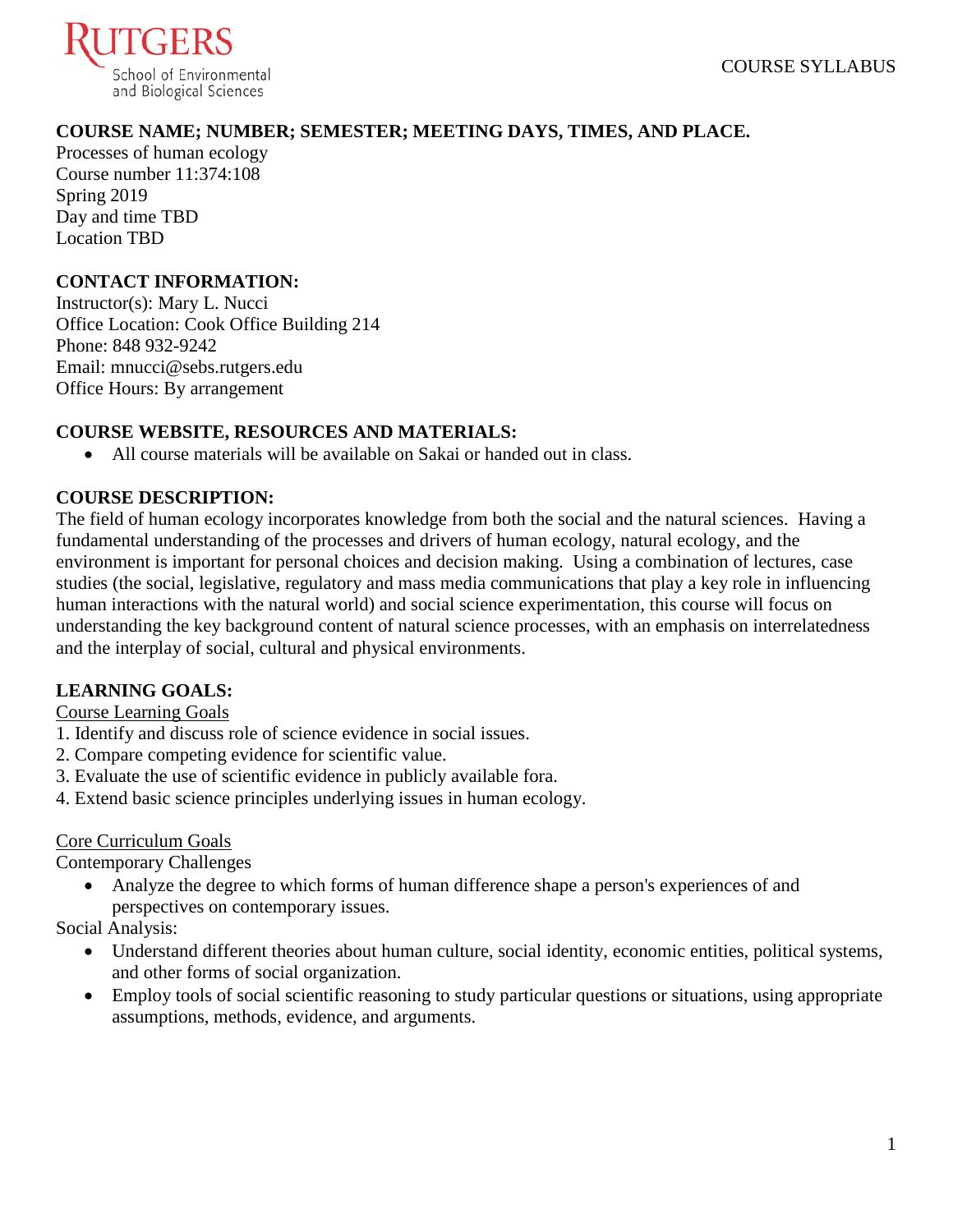

# **COURSE NAME; NUMBER; SEMESTER; MEETING DAYS, TIMES, AND PLACE.**

Processes of human ecology Course number 11:374:108 Spring 2019 Day and time TBD Location TBD

#### **CONTACT INFORMATION:**

Instructor(s): Mary L. Nucci Office Location: Cook Office Building 214 Phone: 848 932-9242 Email: mnucci@sebs.rutgers.edu Office Hours: By arrangement

#### **COURSE WEBSITE, RESOURCES AND MATERIALS:**

• All course materials will be available on Sakai or handed out in class.

#### **COURSE DESCRIPTION:**

The field of human ecology incorporates knowledge from both the social and the natural sciences. Having a fundamental understanding of the processes and drivers of human ecology, natural ecology, and the environment is important for personal choices and decision making. Using a combination of lectures, case studies (the social, legislative, regulatory and mass media communications that play a key role in influencing human interactions with the natural world) and social science experimentation, this course will focus on understanding the key background content of natural science processes, with an emphasis on interrelatedness and the interplay of social, cultural and physical environments.

#### **LEARNING GOALS:**

#### Course Learning Goals

- 1. Identify and discuss role of science evidence in social issues.
- 2. Compare competing evidence for scientific value.
- 3. Evaluate the use of scientific evidence in publicly available fora.
- 4. Extend basic science principles underlying issues in human ecology.

#### Core Curriculum Goals

Contemporary Challenges

• Analyze the degree to which forms of human difference shape a person's experiences of and perspectives on contemporary issues.

Social Analysis:

- Understand different theories about human culture, social identity, economic entities, political systems, and other forms of social organization.
- Employ tools of social scientific reasoning to study particular questions or situations, using appropriate assumptions, methods, evidence, and arguments.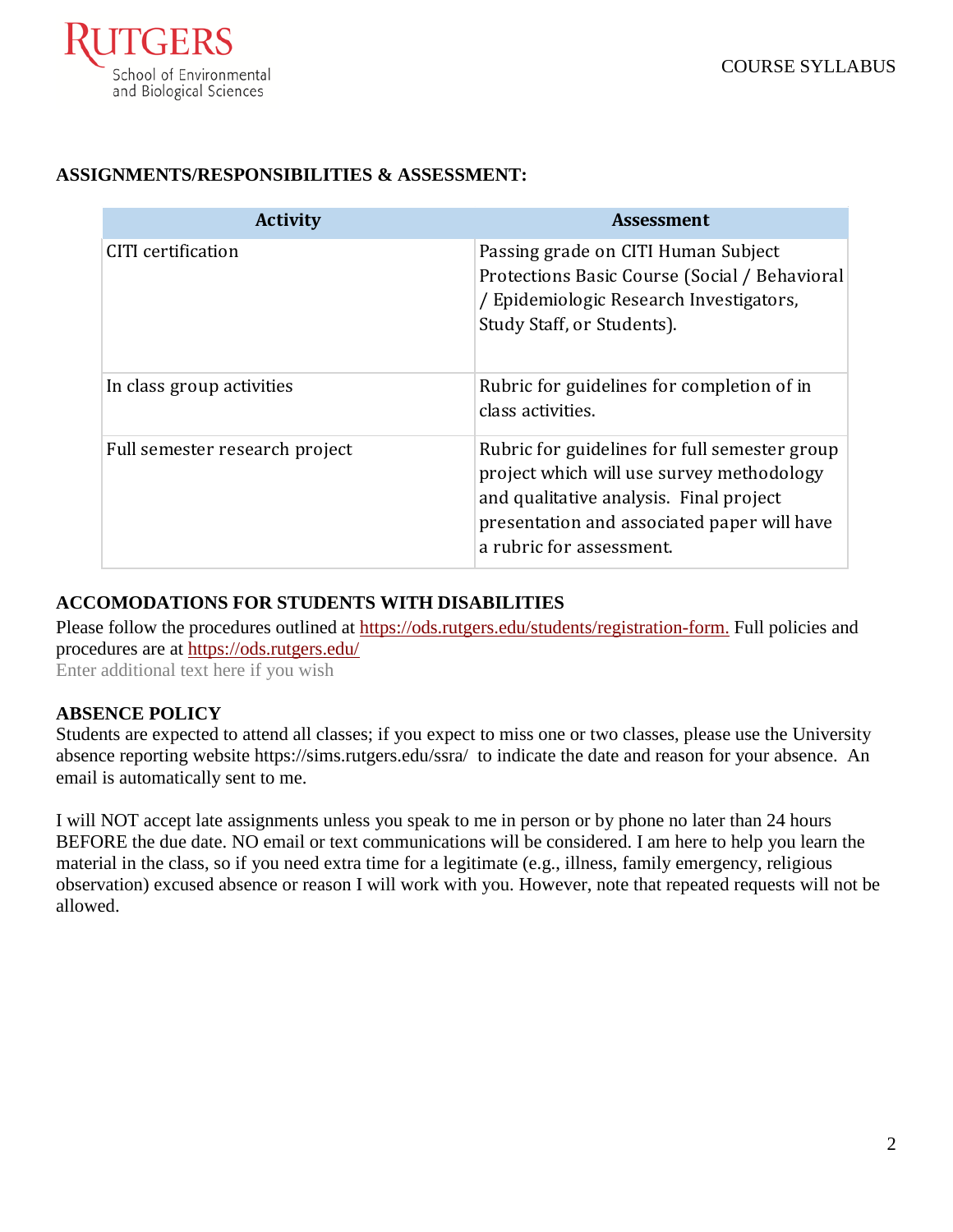

# **ASSIGNMENTS/RESPONSIBILITIES & ASSESSMENT:**

| <b>Activity</b>                | <b>Assessment</b>                                                                                                                                                                                                |
|--------------------------------|------------------------------------------------------------------------------------------------------------------------------------------------------------------------------------------------------------------|
| CITI certification             | Passing grade on CITI Human Subject<br>Protections Basic Course (Social / Behavioral<br>/ Epidemiologic Research Investigators,<br>Study Staff, or Students).                                                    |
| In class group activities      | Rubric for guidelines for completion of in<br>class activities.                                                                                                                                                  |
| Full semester research project | Rubric for guidelines for full semester group<br>project which will use survey methodology<br>and qualitative analysis. Final project<br>presentation and associated paper will have<br>a rubric for assessment. |

# **ACCOMODATIONS FOR STUDENTS WITH DISABILITIES**

Please follow the procedures outlined at [https://ods.rutgers.edu/students/registration-form.](https://ods.rutgers.edu/students/registration-form) Full policies and procedures are at<https://ods.rutgers.edu/>

Enter additional text here if you wish

# **ABSENCE POLICY**

Students are expected to attend all classes; if you expect to miss one or two classes, please use the University absence reporting website<https://sims.rutgers.edu/ssra/>to indicate the date and reason for your absence. An email is automatically sent to me.

I will NOT accept late assignments unless you speak to me in person or by phone no later than 24 hours BEFORE the due date. NO email or text communications will be considered. I am here to help you learn the material in the class, so if you need extra time for a legitimate (e.g., illness, family emergency, religious observation) excused absence or reason I will work with you. However, note that repeated requests will not be allowed.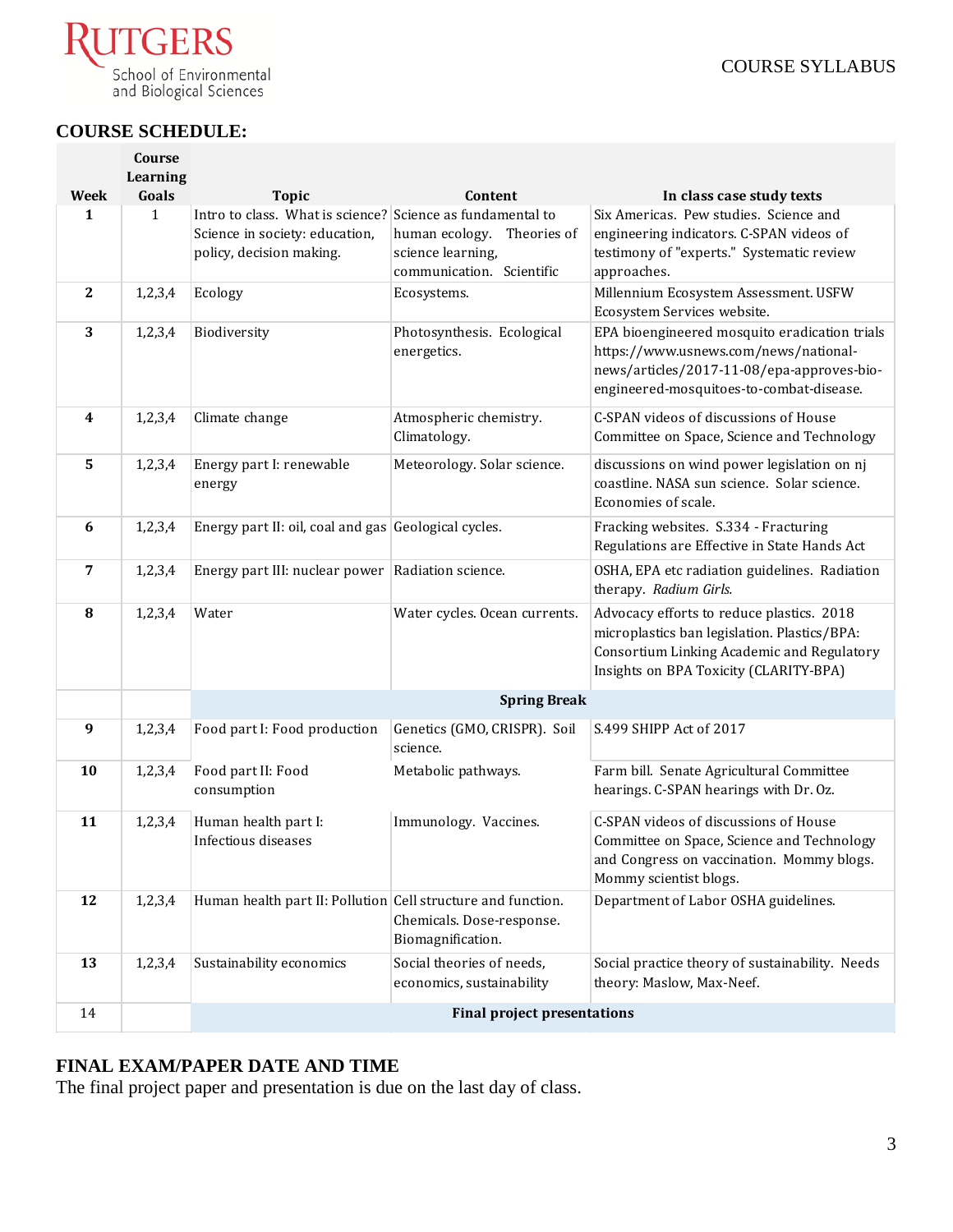

# **COURSE SCHEDULE:**

**Course** 

|                  | Course<br>Learning |                                                              |                               |                                                                                         |
|------------------|--------------------|--------------------------------------------------------------|-------------------------------|-----------------------------------------------------------------------------------------|
| <b>Week</b>      | Goals              | <b>Topic</b>                                                 | Content                       | In class case study texts                                                               |
| 1                | $\mathbf{1}$       | Intro to class. What is science? Science as fundamental to   |                               | Six Americas. Pew studies. Science and                                                  |
|                  |                    | Science in society: education,                               | human ecology. Theories of    | engineering indicators. C-SPAN videos of                                                |
|                  |                    | policy, decision making.                                     | science learning,             | testimony of "experts." Systematic review                                               |
|                  |                    |                                                              | communication. Scientific     | approaches.                                                                             |
| $\mathbf{2}$     | 1,2,3,4            | Ecology                                                      | Ecosystems.                   | Millennium Ecosystem Assessment. USFW                                                   |
|                  |                    |                                                              |                               | Ecosystem Services website.                                                             |
| 3                | 1,2,3,4            | Biodiversity                                                 | Photosynthesis. Ecological    | EPA bioengineered mosquito eradication trials                                           |
|                  |                    |                                                              | energetics.                   | https://www.usnews.com/news/national-                                                   |
|                  |                    |                                                              |                               | news/articles/2017-11-08/epa-approves-bio-                                              |
|                  |                    |                                                              |                               | engineered-mosquitoes-to-combat-disease.                                                |
|                  |                    |                                                              |                               |                                                                                         |
| 4                | 1,2,3,4            | Climate change                                               | Atmospheric chemistry.        | C-SPAN videos of discussions of House                                                   |
|                  |                    |                                                              | Climatology.                  | Committee on Space, Science and Technology                                              |
| 5                | 1,2,3,4            | Energy part I: renewable                                     | Meteorology. Solar science.   | discussions on wind power legislation on nj                                             |
|                  |                    | energy                                                       |                               | coastline. NASA sun science. Solar science.                                             |
|                  |                    |                                                              |                               | Economies of scale.                                                                     |
| 6                | 1,2,3,4            | Energy part II: oil, coal and gas Geological cycles.         |                               | Fracking websites. S.334 - Fracturing                                                   |
|                  |                    |                                                              |                               | Regulations are Effective in State Hands Act                                            |
| 7                | 1,2,3,4            | Energy part III: nuclear power   Radiation science.          |                               | OSHA, EPA etc radiation guidelines. Radiation                                           |
|                  |                    |                                                              |                               | therapy. Radium Girls.                                                                  |
| 8                | 1,2,3,4            | Water                                                        | Water cycles. Ocean currents. | Advocacy efforts to reduce plastics. 2018                                               |
|                  |                    |                                                              |                               | microplastics ban legislation. Plastics/BPA:                                            |
|                  |                    |                                                              |                               | Consortium Linking Academic and Regulatory                                              |
|                  |                    |                                                              |                               | Insights on BPA Toxicity (CLARITY-BPA)                                                  |
|                  |                    |                                                              |                               |                                                                                         |
|                  |                    | <b>Spring Break</b>                                          |                               |                                                                                         |
| $\boldsymbol{9}$ | 1,2,3,4            | Food part I: Food production                                 | Genetics (GMO, CRISPR). Soil  | S.499 SHIPP Act of 2017                                                                 |
|                  |                    |                                                              | science.                      |                                                                                         |
| 10               | 1,2,3,4            | Food part II: Food                                           | Metabolic pathways.           | Farm bill. Senate Agricultural Committee                                                |
|                  |                    | consumption                                                  |                               | hearings. C-SPAN hearings with Dr. Oz.                                                  |
|                  |                    |                                                              |                               | C-SPAN videos of discussions of House                                                   |
| 11               | 1,2,3,4            | Human health part I:<br>Infectious diseases                  | Immunology. Vaccines.         |                                                                                         |
|                  |                    |                                                              |                               | Committee on Space, Science and Technology<br>and Congress on vaccination. Mommy blogs. |
|                  |                    |                                                              |                               | Mommy scientist blogs.                                                                  |
|                  |                    |                                                              |                               |                                                                                         |
| 12               | 1,2,3,4            | Human health part II: Pollution Cell structure and function. |                               | Department of Labor OSHA guidelines.                                                    |
|                  |                    |                                                              | Chemicals. Dose-response.     |                                                                                         |
|                  |                    |                                                              | Biomagnification.             |                                                                                         |
| 13               | 1,2,3,4            | Sustainability economics                                     | Social theories of needs,     | Social practice theory of sustainability. Needs                                         |
|                  |                    |                                                              | economics, sustainability     | theory: Maslow, Max-Neef.                                                               |
| 14               |                    | <b>Final project presentations</b>                           |                               |                                                                                         |
|                  |                    |                                                              |                               |                                                                                         |

# **FINAL EXAM/PAPER DATE AND TIME**

The final project paper and presentation is due on the last day of class.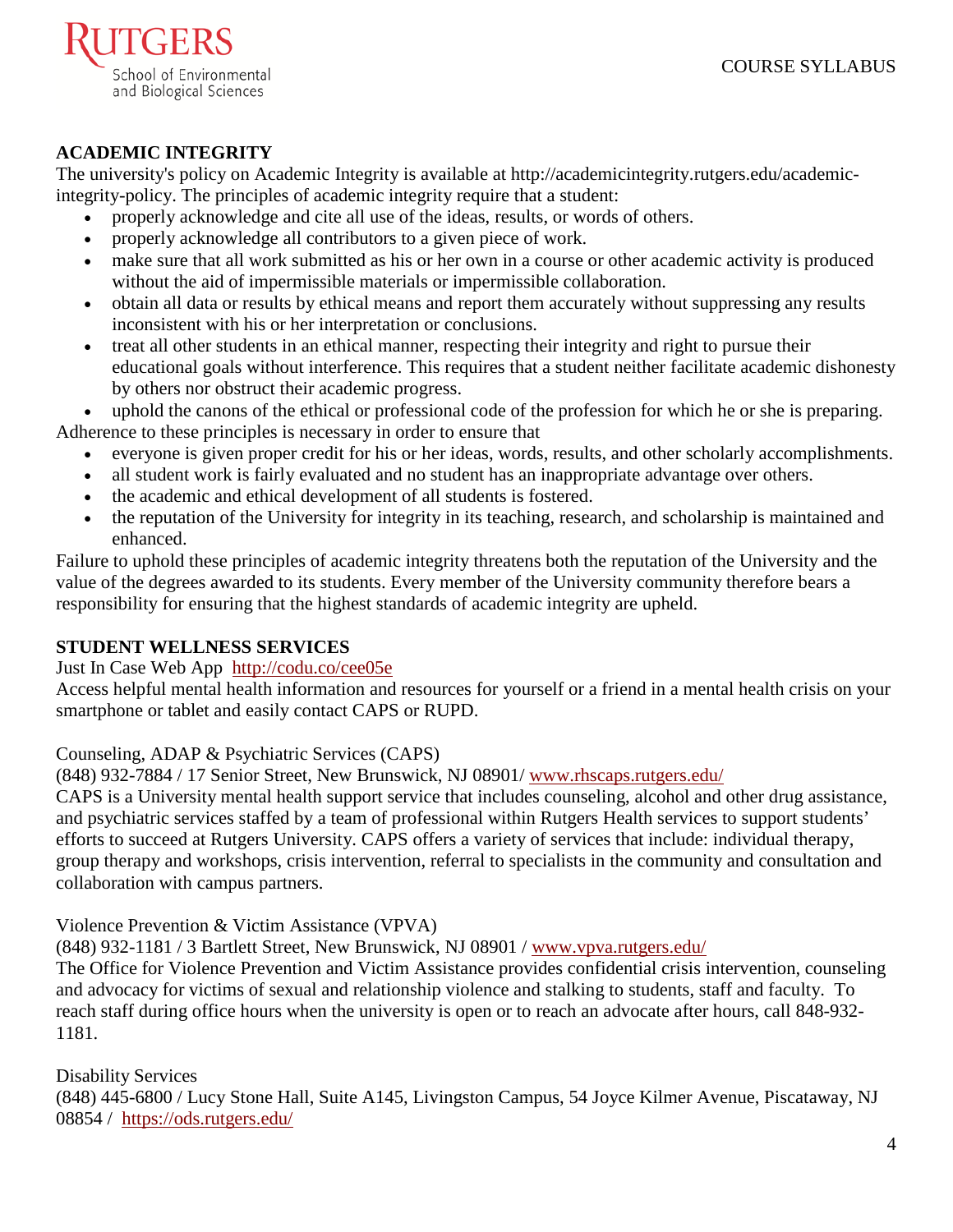

# **ACADEMIC INTEGRITY**

The university's policy on Academic Integrity is available at [http://academicintegrity.rutgers.edu/academic](http://academicintegrity.rutgers.edu/academic-integrity-policy)[integrity-policy.](http://academicintegrity.rutgers.edu/academic-integrity-policy) The principles of academic integrity require that a student:

- properly acknowledge and cite all use of the ideas, results, or words of others.
- properly acknowledge all contributors to a given piece of work.
- make sure that all work submitted as his or her own in a course or other academic activity is produced without the aid of impermissible materials or impermissible collaboration.
- obtain all data or results by ethical means and report them accurately without suppressing any results inconsistent with his or her interpretation or conclusions.
- treat all other students in an ethical manner, respecting their integrity and right to pursue their educational goals without interference. This requires that a student neither facilitate academic dishonesty by others nor obstruct their academic progress.

uphold the canons of the ethical or professional code of the profession for which he or she is preparing. Adherence to these principles is necessary in order to ensure that

- everyone is given proper credit for his or her ideas, words, results, and other scholarly accomplishments.
- all student work is fairly evaluated and no student has an inappropriate advantage over others.
- the academic and ethical development of all students is fostered.
- the reputation of the University for integrity in its teaching, research, and scholarship is maintained and enhanced.

Failure to uphold these principles of academic integrity threatens both the reputation of the University and the value of the degrees awarded to its students. Every member of the University community therefore bears a responsibility for ensuring that the highest standards of academic integrity are upheld.

# **STUDENT WELLNESS SERVICES**

[Just In Case Web App](http://m.appcreatorpro.com/m/rutgers/fda9f59ca5/fda9f59ca5.html) <http://codu.co/cee05e>

Access helpful mental health information and resources for yourself or a friend in a mental health crisis on your smartphone or tablet and easily contact CAPS or RUPD.

Counseling, ADAP & Psychiatric Services (CAPS)

(848) 932-7884 / 17 Senior Street, New Brunswick, NJ 08901/ [www.rhscaps.rutgers.edu/](http://www.rhscaps.rutgers.edu/)

CAPS is a University mental health support service that includes counseling, alcohol and other drug assistance, and psychiatric services staffed by a team of professional within Rutgers Health services to support students' efforts to succeed at Rutgers University. CAPS offers a variety of services that include: individual therapy, group therapy and workshops, crisis intervention, referral to specialists in the community and consultation and collaboration with campus partners.

# Violence Prevention & Victim Assistance (VPVA)

(848) 932-1181 / 3 Bartlett Street, New Brunswick, NJ 08901 / [www.vpva.rutgers.edu/](http://www.vpva.rutgers.edu/)

The Office for Violence Prevention and Victim Assistance provides confidential crisis intervention, counseling and advocacy for victims of sexual and relationship violence and stalking to students, staff and faculty. To reach staff during office hours when the university is open or to reach an advocate after hours, call 848-932- 1181.

Disability Services

(848) 445-6800 / Lucy Stone Hall, Suite A145, Livingston Campus, 54 Joyce Kilmer Avenue, Piscataway, NJ 08854 / <https://ods.rutgers.edu/>